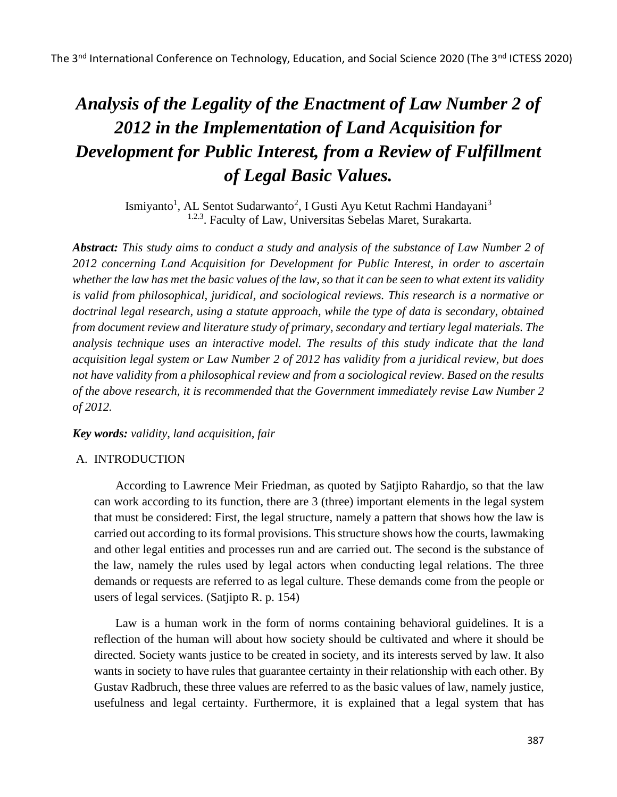# *Analysis of the Legality of the Enactment of Law Number 2 of 2012 in the Implementation of Land Acquisition for Development for Public Interest, from a Review of Fulfillment of Legal Basic Values.*

Ismiyanto<sup>1</sup>, AL Sentot Sudarwanto<sup>2</sup>, I Gusti Ayu Ketut Rachmi Handayani<sup>3</sup> <sup>1.2.3</sup>. Faculty of Law, Universitas Sebelas Maret, Surakarta.

*Abstract: This study aims to conduct a study and analysis of the substance of Law Number 2 of 2012 concerning Land Acquisition for Development for Public Interest, in order to ascertain whether the law has met the basic values of the law, so that it can be seen to what extent its validity is valid from philosophical, juridical, and sociological reviews. This research is a normative or doctrinal legal research, using a statute approach, while the type of data is secondary, obtained from document review and literature study of primary, secondary and tertiary legal materials. The analysis technique uses an interactive model. The results of this study indicate that the land acquisition legal system or Law Number 2 of 2012 has validity from a juridical review, but does not have validity from a philosophical review and from a sociological review. Based on the results of the above research, it is recommended that the Government immediately revise Law Number 2 of 2012.*

## *Key words: validity, land acquisition, fair*

## A. INTRODUCTION

According to Lawrence Meir Friedman, as quoted by Satjipto Rahardjo, so that the law can work according to its function, there are 3 (three) important elements in the legal system that must be considered: First, the legal structure, namely a pattern that shows how the law is carried out according to its formal provisions. This structure shows how the courts, lawmaking and other legal entities and processes run and are carried out. The second is the substance of the law, namely the rules used by legal actors when conducting legal relations. The three demands or requests are referred to as legal culture. These demands come from the people or users of legal services. (Satjipto R. p. 154)

Law is a human work in the form of norms containing behavioral guidelines. It is a reflection of the human will about how society should be cultivated and where it should be directed. Society wants justice to be created in society, and its interests served by law. It also wants in society to have rules that guarantee certainty in their relationship with each other. By Gustav Radbruch, these three values are referred to as the basic values of law, namely justice, usefulness and legal certainty. Furthermore, it is explained that a legal system that has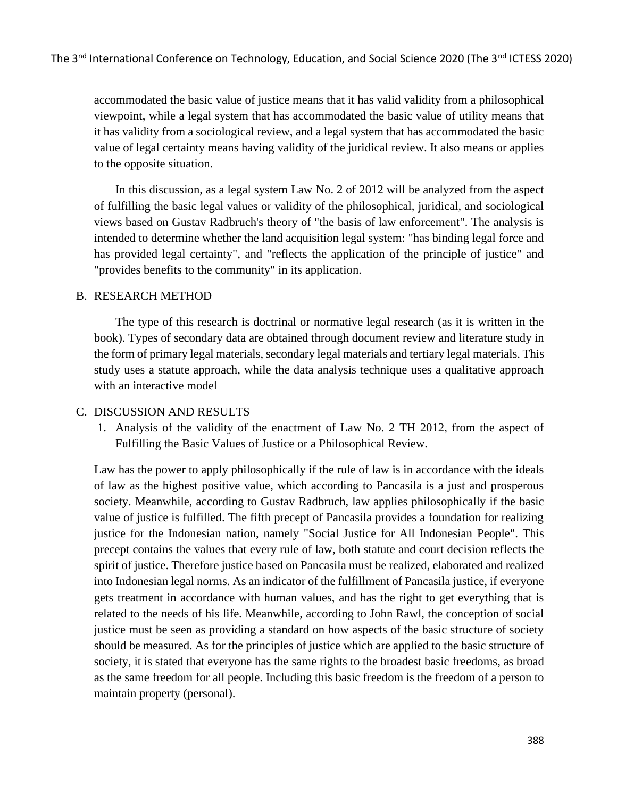accommodated the basic value of justice means that it has valid validity from a philosophical viewpoint, while a legal system that has accommodated the basic value of utility means that it has validity from a sociological review, and a legal system that has accommodated the basic value of legal certainty means having validity of the juridical review. It also means or applies to the opposite situation.

In this discussion, as a legal system Law No. 2 of 2012 will be analyzed from the aspect of fulfilling the basic legal values or validity of the philosophical, juridical, and sociological views based on Gustav Radbruch's theory of "the basis of law enforcement". The analysis is intended to determine whether the land acquisition legal system: "has binding legal force and has provided legal certainty", and "reflects the application of the principle of justice" and "provides benefits to the community" in its application.

#### B. RESEARCH METHOD

The type of this research is doctrinal or normative legal research (as it is written in the book). Types of secondary data are obtained through document review and literature study in the form of primary legal materials, secondary legal materials and tertiary legal materials. This study uses a statute approach, while the data analysis technique uses a qualitative approach with an interactive model

## C. DISCUSSION AND RESULTS

1. Analysis of the validity of the enactment of Law No. 2 TH 2012, from the aspect of Fulfilling the Basic Values of Justice or a Philosophical Review.

Law has the power to apply philosophically if the rule of law is in accordance with the ideals of law as the highest positive value, which according to Pancasila is a just and prosperous society. Meanwhile, according to Gustav Radbruch, law applies philosophically if the basic value of justice is fulfilled. The fifth precept of Pancasila provides a foundation for realizing justice for the Indonesian nation, namely "Social Justice for All Indonesian People". This precept contains the values that every rule of law, both statute and court decision reflects the spirit of justice. Therefore justice based on Pancasila must be realized, elaborated and realized into Indonesian legal norms. As an indicator of the fulfillment of Pancasila justice, if everyone gets treatment in accordance with human values, and has the right to get everything that is related to the needs of his life. Meanwhile, according to John Rawl, the conception of social justice must be seen as providing a standard on how aspects of the basic structure of society should be measured. As for the principles of justice which are applied to the basic structure of society, it is stated that everyone has the same rights to the broadest basic freedoms, as broad as the same freedom for all people. Including this basic freedom is the freedom of a person to maintain property (personal).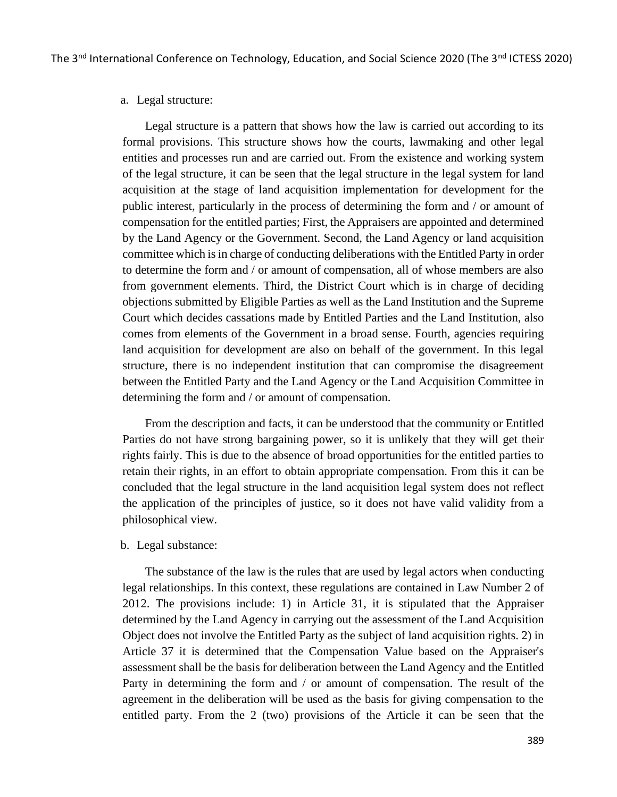#### a. Legal structure:

Legal structure is a pattern that shows how the law is carried out according to its formal provisions. This structure shows how the courts, lawmaking and other legal entities and processes run and are carried out. From the existence and working system of the legal structure, it can be seen that the legal structure in the legal system for land acquisition at the stage of land acquisition implementation for development for the public interest, particularly in the process of determining the form and / or amount of compensation for the entitled parties; First, the Appraisers are appointed and determined by the Land Agency or the Government. Second, the Land Agency or land acquisition committee which is in charge of conducting deliberations with the Entitled Party in order to determine the form and / or amount of compensation, all of whose members are also from government elements. Third, the District Court which is in charge of deciding objections submitted by Eligible Parties as well as the Land Institution and the Supreme Court which decides cassations made by Entitled Parties and the Land Institution, also comes from elements of the Government in a broad sense. Fourth, agencies requiring land acquisition for development are also on behalf of the government. In this legal structure, there is no independent institution that can compromise the disagreement between the Entitled Party and the Land Agency or the Land Acquisition Committee in determining the form and / or amount of compensation.

From the description and facts, it can be understood that the community or Entitled Parties do not have strong bargaining power, so it is unlikely that they will get their rights fairly. This is due to the absence of broad opportunities for the entitled parties to retain their rights, in an effort to obtain appropriate compensation. From this it can be concluded that the legal structure in the land acquisition legal system does not reflect the application of the principles of justice, so it does not have valid validity from a philosophical view.

#### b. Legal substance:

The substance of the law is the rules that are used by legal actors when conducting legal relationships. In this context, these regulations are contained in Law Number 2 of 2012. The provisions include: 1) in Article 31, it is stipulated that the Appraiser determined by the Land Agency in carrying out the assessment of the Land Acquisition Object does not involve the Entitled Party as the subject of land acquisition rights. 2) in Article 37 it is determined that the Compensation Value based on the Appraiser's assessment shall be the basis for deliberation between the Land Agency and the Entitled Party in determining the form and / or amount of compensation. The result of the agreement in the deliberation will be used as the basis for giving compensation to the entitled party. From the 2 (two) provisions of the Article it can be seen that the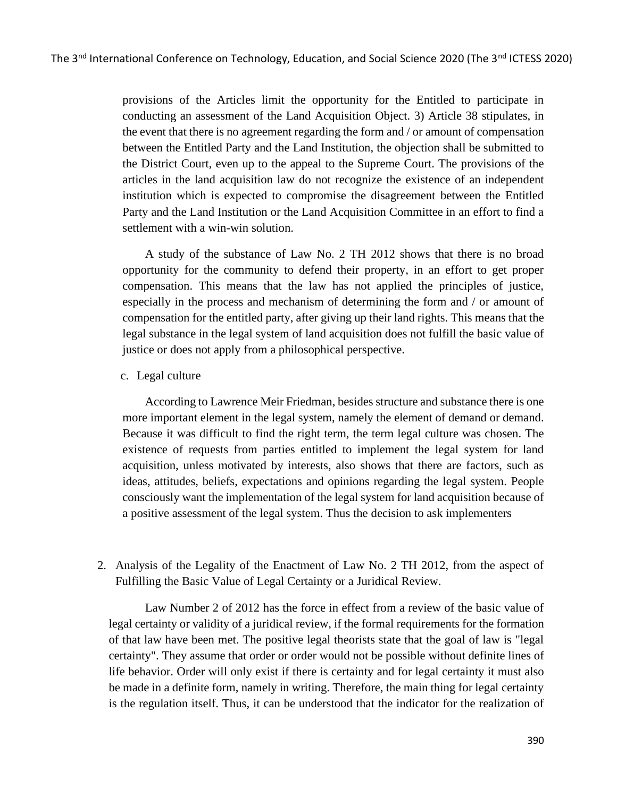provisions of the Articles limit the opportunity for the Entitled to participate in conducting an assessment of the Land Acquisition Object. 3) Article 38 stipulates, in the event that there is no agreement regarding the form and / or amount of compensation between the Entitled Party and the Land Institution, the objection shall be submitted to the District Court, even up to the appeal to the Supreme Court. The provisions of the articles in the land acquisition law do not recognize the existence of an independent institution which is expected to compromise the disagreement between the Entitled Party and the Land Institution or the Land Acquisition Committee in an effort to find a settlement with a win-win solution.

A study of the substance of Law No. 2 TH 2012 shows that there is no broad opportunity for the community to defend their property, in an effort to get proper compensation. This means that the law has not applied the principles of justice, especially in the process and mechanism of determining the form and / or amount of compensation for the entitled party, after giving up their land rights. This means that the legal substance in the legal system of land acquisition does not fulfill the basic value of justice or does not apply from a philosophical perspective.

#### c. Legal culture

According to Lawrence Meir Friedman, besides structure and substance there is one more important element in the legal system, namely the element of demand or demand. Because it was difficult to find the right term, the term legal culture was chosen. The existence of requests from parties entitled to implement the legal system for land acquisition, unless motivated by interests, also shows that there are factors, such as ideas, attitudes, beliefs, expectations and opinions regarding the legal system. People consciously want the implementation of the legal system for land acquisition because of a positive assessment of the legal system. Thus the decision to ask implementers

2. Analysis of the Legality of the Enactment of Law No. 2 TH 2012, from the aspect of Fulfilling the Basic Value of Legal Certainty or a Juridical Review.

Law Number 2 of 2012 has the force in effect from a review of the basic value of legal certainty or validity of a juridical review, if the formal requirements for the formation of that law have been met. The positive legal theorists state that the goal of law is "legal certainty". They assume that order or order would not be possible without definite lines of life behavior. Order will only exist if there is certainty and for legal certainty it must also be made in a definite form, namely in writing. Therefore, the main thing for legal certainty is the regulation itself. Thus, it can be understood that the indicator for the realization of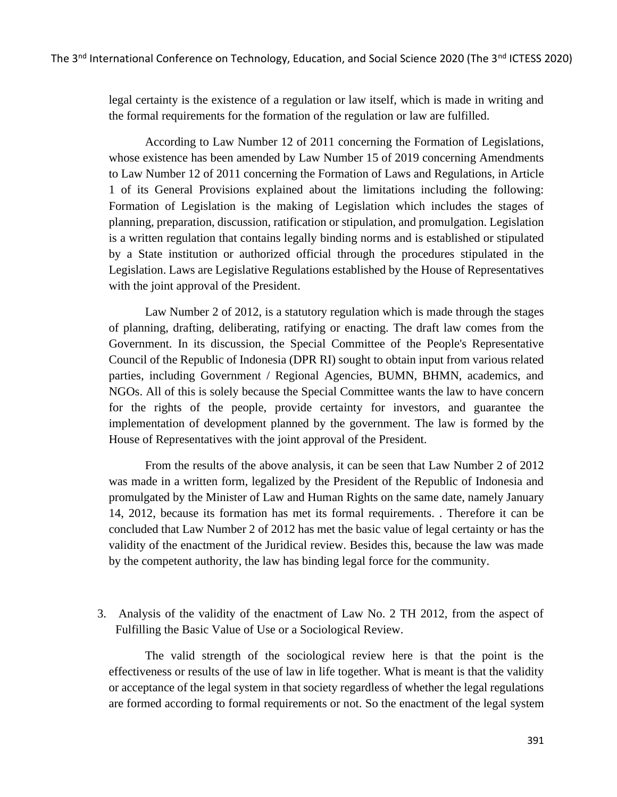legal certainty is the existence of a regulation or law itself, which is made in writing and the formal requirements for the formation of the regulation or law are fulfilled.

According to Law Number 12 of 2011 concerning the Formation of Legislations, whose existence has been amended by Law Number 15 of 2019 concerning Amendments to Law Number 12 of 2011 concerning the Formation of Laws and Regulations, in Article 1 of its General Provisions explained about the limitations including the following: Formation of Legislation is the making of Legislation which includes the stages of planning, preparation, discussion, ratification or stipulation, and promulgation. Legislation is a written regulation that contains legally binding norms and is established or stipulated by a State institution or authorized official through the procedures stipulated in the Legislation. Laws are Legislative Regulations established by the House of Representatives with the joint approval of the President.

Law Number 2 of 2012, is a statutory regulation which is made through the stages of planning, drafting, deliberating, ratifying or enacting. The draft law comes from the Government. In its discussion, the Special Committee of the People's Representative Council of the Republic of Indonesia (DPR RI) sought to obtain input from various related parties, including Government / Regional Agencies, BUMN, BHMN, academics, and NGOs. All of this is solely because the Special Committee wants the law to have concern for the rights of the people, provide certainty for investors, and guarantee the implementation of development planned by the government. The law is formed by the House of Representatives with the joint approval of the President.

From the results of the above analysis, it can be seen that Law Number 2 of 2012 was made in a written form, legalized by the President of the Republic of Indonesia and promulgated by the Minister of Law and Human Rights on the same date, namely January 14, 2012, because its formation has met its formal requirements. . Therefore it can be concluded that Law Number 2 of 2012 has met the basic value of legal certainty or has the validity of the enactment of the Juridical review. Besides this, because the law was made by the competent authority, the law has binding legal force for the community.

3. Analysis of the validity of the enactment of Law No. 2 TH 2012, from the aspect of Fulfilling the Basic Value of Use or a Sociological Review.

The valid strength of the sociological review here is that the point is the effectiveness or results of the use of law in life together. What is meant is that the validity or acceptance of the legal system in that society regardless of whether the legal regulations are formed according to formal requirements or not. So the enactment of the legal system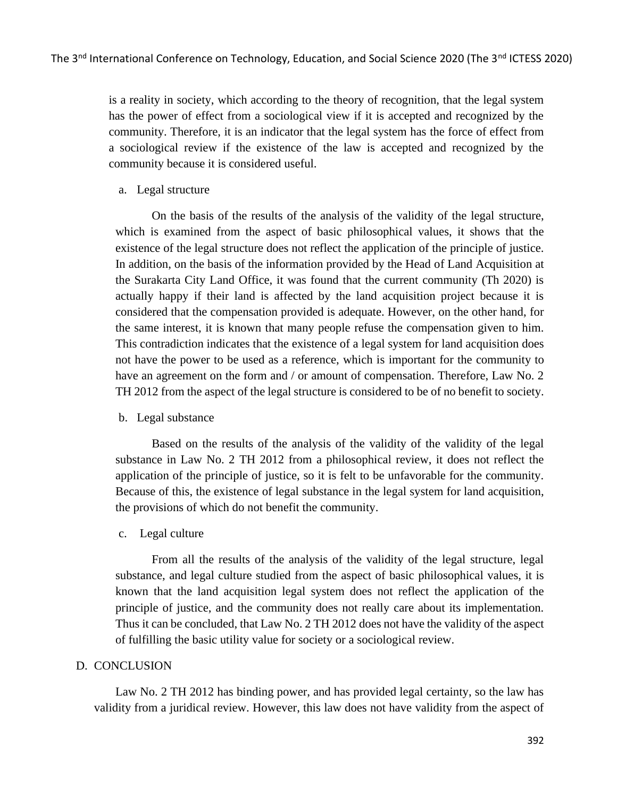is a reality in society, which according to the theory of recognition, that the legal system has the power of effect from a sociological view if it is accepted and recognized by the community. Therefore, it is an indicator that the legal system has the force of effect from a sociological review if the existence of the law is accepted and recognized by the community because it is considered useful.

a. Legal structure

On the basis of the results of the analysis of the validity of the legal structure, which is examined from the aspect of basic philosophical values, it shows that the existence of the legal structure does not reflect the application of the principle of justice. In addition, on the basis of the information provided by the Head of Land Acquisition at the Surakarta City Land Office, it was found that the current community (Th 2020) is actually happy if their land is affected by the land acquisition project because it is considered that the compensation provided is adequate. However, on the other hand, for the same interest, it is known that many people refuse the compensation given to him. This contradiction indicates that the existence of a legal system for land acquisition does not have the power to be used as a reference, which is important for the community to have an agreement on the form and / or amount of compensation. Therefore, Law No. 2 TH 2012 from the aspect of the legal structure is considered to be of no benefit to society.

b. Legal substance

Based on the results of the analysis of the validity of the validity of the legal substance in Law No. 2 TH 2012 from a philosophical review, it does not reflect the application of the principle of justice, so it is felt to be unfavorable for the community. Because of this, the existence of legal substance in the legal system for land acquisition, the provisions of which do not benefit the community.

c. Legal culture

From all the results of the analysis of the validity of the legal structure, legal substance, and legal culture studied from the aspect of basic philosophical values, it is known that the land acquisition legal system does not reflect the application of the principle of justice, and the community does not really care about its implementation. Thus it can be concluded, that Law No. 2 TH 2012 does not have the validity of the aspect of fulfilling the basic utility value for society or a sociological review.

## D. CONCLUSION

Law No. 2 TH 2012 has binding power, and has provided legal certainty, so the law has validity from a juridical review. However, this law does not have validity from the aspect of